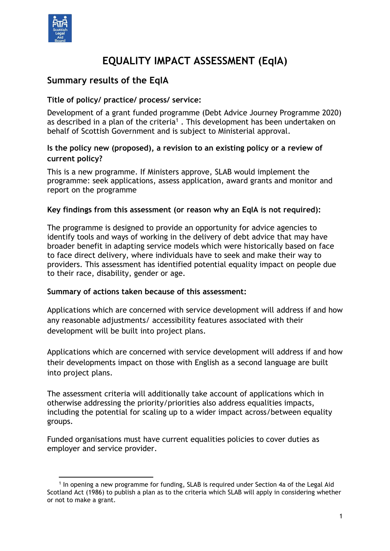

# **EQUALITY IMPACT ASSESSMENT (EqIA)**

# **Summary results of the EqIA**

#### **Title of policy/ practice/ process/ service:**

Development of a grant funded programme (Debt Advice Journey Programme 2020) as described in a plan of the criteria<sup>1</sup>. This development has been undertaken on behalf of Scottish Government and is subject to Ministerial approval.

#### **Is the policy new (proposed), a revision to an existing policy or a review of current policy?**

This is a new programme. If Ministers approve, SLAB would implement the programme: seek applications, assess application, award grants and monitor and report on the programme

#### **Key findings from this assessment (or reason why an EqIA is not required):**

The programme is designed to provide an opportunity for advice agencies to identify tools and ways of working in the delivery of debt advice that may have broader benefit in adapting service models which were historically based on face to face direct delivery, where individuals have to seek and make their way to providers. This assessment has identified potential equality impact on people due to their race, disability, gender or age.

#### **Summary of actions taken because of this assessment:**

Applications which are concerned with service development will address if and how any reasonable adjustments/ accessibility features associated with their development will be built into project plans.

Applications which are concerned with service development will address if and how their developments impact on those with English as a second language are built into project plans.

The assessment criteria will additionally take account of applications which in otherwise addressing the priority/priorities also address equalities impacts, including the potential for scaling up to a wider impact across/between equality groups.

Funded organisations must have current equalities policies to cover duties as employer and service provider.

<sup>-</sup>1 In opening a new programme for funding, SLAB is required under Section 4a of the Legal Aid Scotland Act (1986) to publish a plan as to the criteria which SLAB will apply in considering whether or not to make a grant.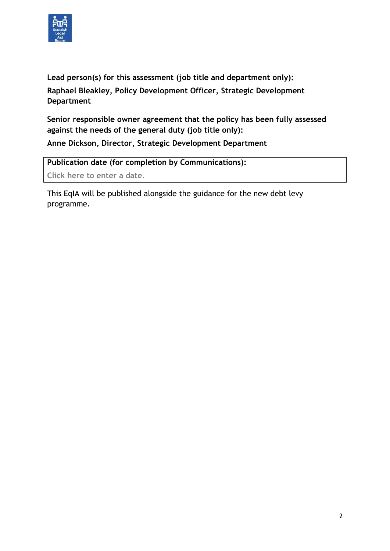

**Lead person(s) for this assessment (job title and department only): Raphael Bleakley, Policy Development Officer, Strategic Development Department**

**Senior responsible owner agreement that the policy has been fully assessed against the needs of the general duty (job title only): Anne Dickson, Director, Strategic Development Department**

**Publication date (for completion by Communications): Click here to enter a date**.

This EqIA will be published alongside the guidance for the new debt levy programme.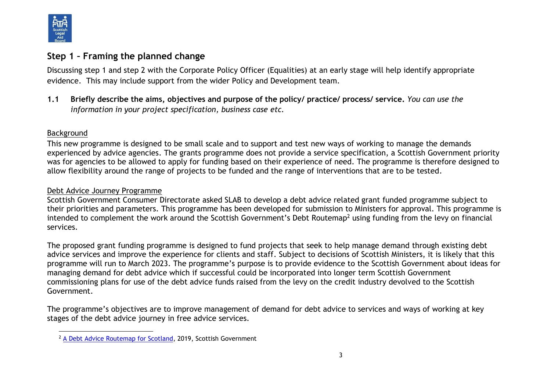

# **Step 1 – Framing the planned change**

Discussing step 1 and step 2 with the Corporate Policy Officer (Equalities) at an early stage will help identify appropriate evidence. This may include support from the wider Policy and Development team.

**1.1 Briefly describe the aims, objectives and purpose of the policy/ practice/ process/ service.** *You can use the information in your project specification, business case etc.* 

#### Background

This new programme is designed to be small scale and to support and test new ways of working to manage the demands experienced by advice agencies. The grants programme does not provide a service specification, a Scottish Government priority was for agencies to be allowed to apply for funding based on their experience of need. The programme is therefore designed to allow flexibility around the range of projects to be funded and the range of interventions that are to be tested.

#### Debt Advice Journey Programme

Scottish Government Consumer Directorate asked SLAB to develop a debt advice related grant funded programme subject to their priorities and parameters. This programme has been developed for submission to Ministers for approval. This programme is intended to complement the work around the Scottish Government's Debt Routemap<sup>2</sup> using funding from the levy on financial services.

The proposed grant funding programme is designed to fund projects that seek to help manage demand through existing debt advice services and improve the experience for clients and staff. Subject to decisions of Scottish Ministers, it is likely that this programme will run to March 2023. The programme's purpose is to provide evidence to the Scottish Government about ideas for managing demand for debt advice which if successful could be incorporated into longer term Scottish Government commissioning plans for use of the debt advice funds raised from the levy on the credit industry devolved to the Scottish Government.

The programme's objectives are to improve management of demand for debt advice to services and ways of working at key stages of the debt advice journey in free advice services.

l <sup>2</sup> [A Debt Advice Routemap for Scotland,](https://www.gov.scot/binaries/content/documents/govscot/publications/strategy-plan/2019/12/debt-advice-routemap-scotland/documents/debt-advice-routemap-scotland/debt-advice-routemap-scotland/govscot%3Adocument/debt-advice-routemap-scotland.pdf) 2019, Scottish Government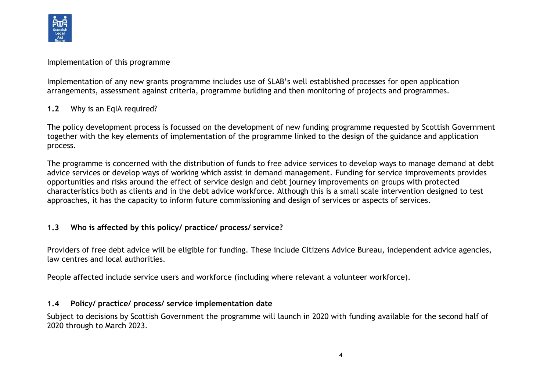

#### Implementation of this programme

Implementation of any new grants programme includes use of SLAB's well established processes for open application arrangements, assessment against criteria, programme building and then monitoring of projects and programmes.

#### **1.2** Why is an EqIA required?

The policy development process is focussed on the development of new funding programme requested by Scottish Government together with the key elements of implementation of the programme linked to the design of the guidance and application process.

The programme is concerned with the distribution of funds to free advice services to develop ways to manage demand at debt advice services or develop ways of working which assist in demand management. Funding for service improvements provides opportunities and risks around the effect of service design and debt journey improvements on groups with protected characteristics both as clients and in the debt advice workforce. Although this is a small scale intervention designed to test approaches, it has the capacity to inform future commissioning and design of services or aspects of services.

#### **1.3 Who is affected by this policy/ practice/ process/ service?**

Providers of free debt advice will be eligible for funding. These include Citizens Advice Bureau, independent advice agencies, law centres and local authorities.

People affected include service users and workforce (including where relevant a volunteer workforce).

#### **1.4 Policy/ practice/ process/ service implementation date**

Subject to decisions by Scottish Government the programme will launch in 2020 with funding available for the second half of 2020 through to March 2023.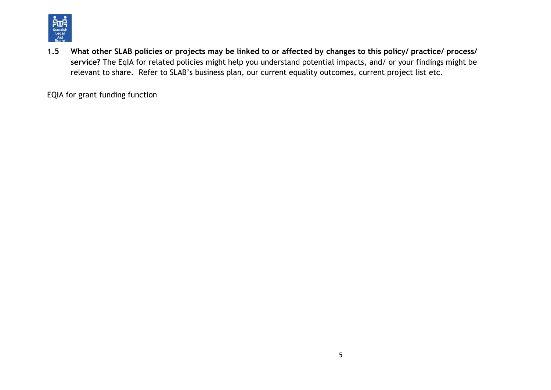

**1.5 What other SLAB policies or projects may be linked to or affected by changes to this policy/ practice/ process/ service?** The EqIA for related policies might help you understand potential impacts, and/ or your findings might be relevant to share. Refer to SLAB's business plan, our current equality outcomes, current project list etc.

EQIA for grant funding function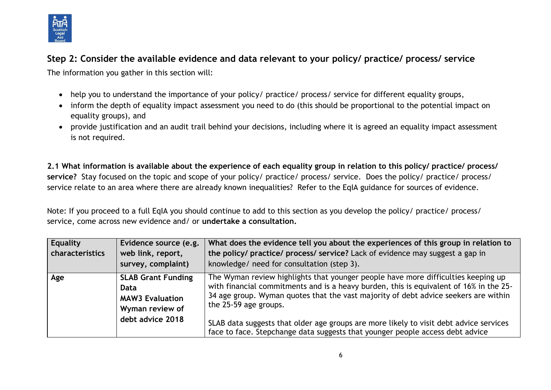

# **Step 2: Consider the available evidence and data relevant to your policy/ practice/ process/ service**

The information you gather in this section will:

- help you to understand the importance of your policy/ practice/ process/ service for different equality groups,
- inform the depth of equality impact assessment you need to do (this should be proportional to the potential impact on equality groups), and
- provide justification and an audit trail behind your decisions, including where it is agreed an equality impact assessment is not required.

**2.1 What information is available about the experience of each equality group in relation to this policy/ practice/ process/ service?** Stay focused on the topic and scope of your policy/ practice/ process/ service. Does the policy/ practice/ process/ service relate to an area where there are already known inequalities? Refer to the EqIA guidance for sources of evidence.

Note: If you proceed to a full EqIA you should continue to add to this section as you develop the policy/ practice/ process/ service, come across new evidence and/ or **undertake a consultation.**

| Equality<br>characteristics | Evidence source (e.g.<br>web link, report,<br>survey, complaint)               | What does the evidence tell you about the experiences of this group in relation to<br>the policy/ practice/ process/ service? Lack of evidence may suggest a gap in<br>knowledge/ need for consultation (step 3).                                                                           |
|-----------------------------|--------------------------------------------------------------------------------|---------------------------------------------------------------------------------------------------------------------------------------------------------------------------------------------------------------------------------------------------------------------------------------------|
| Age                         | <b>SLAB Grant Funding</b><br>Data<br><b>MAW3 Evaluation</b><br>Wyman review of | The Wyman review highlights that younger people have more difficulties keeping up<br>with financial commitments and is a heavy burden, this is equivalent of 16% in the 25-<br>34 age group. Wyman quotes that the vast majority of debt advice seekers are within<br>the 25-59 age groups. |
|                             | debt advice 2018                                                               | SLAB data suggests that older age groups are more likely to visit debt advice services<br>face to face. Stepchange data suggests that younger people access debt advice                                                                                                                     |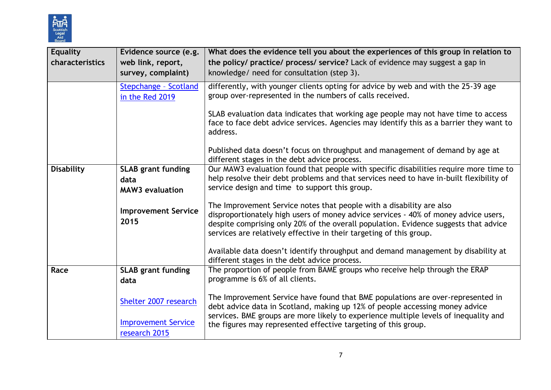

| <b>Equality</b><br>characteristics | Evidence source (e.g.<br>web link, report,<br>survey, complaint) | What does the evidence tell you about the experiences of this group in relation to<br>the policy/ practice/ process/ service? Lack of evidence may suggest a gap in<br>knowledge/ need for consultation (step 3).                                                                                                          |
|------------------------------------|------------------------------------------------------------------|----------------------------------------------------------------------------------------------------------------------------------------------------------------------------------------------------------------------------------------------------------------------------------------------------------------------------|
|                                    | Stepchange - Scotland<br>in the Red 2019                         | differently, with younger clients opting for advice by web and with the 25-39 age<br>group over-represented in the numbers of calls received.                                                                                                                                                                              |
|                                    |                                                                  | SLAB evaluation data indicates that working age people may not have time to access<br>face to face debt advice services. Agencies may identify this as a barrier they want to<br>address.                                                                                                                                  |
|                                    |                                                                  | Published data doesn't focus on throughput and management of demand by age at<br>different stages in the debt advice process.                                                                                                                                                                                              |
| <b>Disability</b>                  | <b>SLAB grant funding</b><br>data<br><b>MAW3</b> evaluation      | Our MAW3 evaluation found that people with specific disabilities require more time to<br>help resolve their debt problems and that services need to have in-built flexibility of<br>service design and time to support this group.                                                                                         |
|                                    | <b>Improvement Service</b><br>2015                               | The Improvement Service notes that people with a disability are also<br>disproportionately high users of money advice services - 40% of money advice users,<br>despite comprising only 20% of the overall population. Evidence suggests that advice<br>services are relatively effective in their targeting of this group. |
|                                    |                                                                  | Available data doesn't identify throughput and demand management by disability at<br>different stages in the debt advice process.                                                                                                                                                                                          |
| Race                               | <b>SLAB grant funding</b><br>data                                | The proportion of people from BAME groups who receive help through the ERAP<br>programme is 6% of all clients.                                                                                                                                                                                                             |
|                                    | Shelter 2007 research                                            | The Improvement Service have found that BME populations are over-represented in<br>debt advice data in Scotland, making up 12% of people accessing money advice<br>services. BME groups are more likely to experience multiple levels of inequality and                                                                    |
|                                    | <b>Improvement Service</b><br>research 2015                      | the figures may represented effective targeting of this group.                                                                                                                                                                                                                                                             |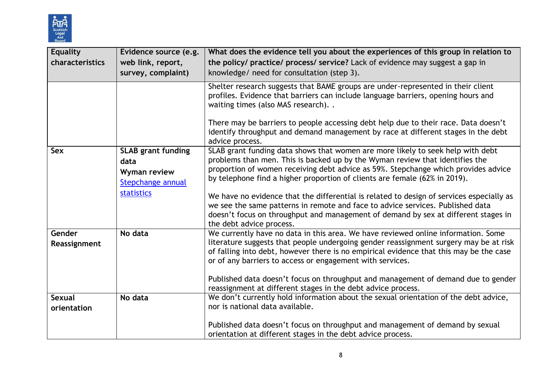

| <b>Equality</b><br>characteristics | Evidence source (e.g.<br>web link, report,<br>survey, complaint)                            | What does the evidence tell you about the experiences of this group in relation to<br>the policy/ practice/ process/ service? Lack of evidence may suggest a gap in<br>knowledge/ need for consultation (step 3).                                                                                                                                                                                                                                                                                                                                                                                                                   |
|------------------------------------|---------------------------------------------------------------------------------------------|-------------------------------------------------------------------------------------------------------------------------------------------------------------------------------------------------------------------------------------------------------------------------------------------------------------------------------------------------------------------------------------------------------------------------------------------------------------------------------------------------------------------------------------------------------------------------------------------------------------------------------------|
|                                    |                                                                                             | Shelter research suggests that BAME groups are under-represented in their client<br>profiles. Evidence that barriers can include language barriers, opening hours and<br>waiting times (also MAS research)                                                                                                                                                                                                                                                                                                                                                                                                                          |
|                                    |                                                                                             | There may be barriers to people accessing debt help due to their race. Data doesn't<br>identify throughput and demand management by race at different stages in the debt<br>advice process.                                                                                                                                                                                                                                                                                                                                                                                                                                         |
| Sex                                | <b>SLAB grant funding</b><br>data<br>Wyman review<br>Stepchange annual<br><b>statistics</b> | SLAB grant funding data shows that women are more likely to seek help with debt<br>problems than men. This is backed up by the Wyman review that identifies the<br>proportion of women receiving debt advice as 59%. Stepchange which provides advice<br>by telephone find a higher proportion of clients are female (62% in 2019).<br>We have no evidence that the differential is related to design of services especially as<br>we see the same patterns in remote and face to advice services. Published data<br>doesn't focus on throughput and management of demand by sex at different stages in<br>the debt advice process. |
| Gender<br>Reassignment             | No data                                                                                     | We currently have no data in this area. We have reviewed online information. Some<br>literature suggests that people undergoing gender reassignment surgery may be at risk<br>of falling into debt, however there is no empirical evidence that this may be the case<br>or of any barriers to access or engagement with services.<br>Published data doesn't focus on throughput and management of demand due to gender<br>reassignment at different stages in the debt advice process.                                                                                                                                              |
| <b>Sexual</b><br>orientation       | No data                                                                                     | We don't currently hold information about the sexual orientation of the debt advice,<br>nor is national data available.<br>Published data doesn't focus on throughput and management of demand by sexual<br>orientation at different stages in the debt advice process.                                                                                                                                                                                                                                                                                                                                                             |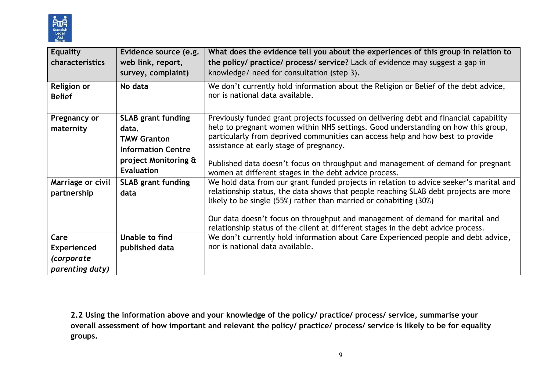

| <b>Equality</b>    | Evidence source (e.g.     | What does the evidence tell you about the experiences of this group in relation to                                                                                 |
|--------------------|---------------------------|--------------------------------------------------------------------------------------------------------------------------------------------------------------------|
| characteristics    | web link, report,         | the policy/ practice/ process/ service? Lack of evidence may suggest a gap in                                                                                      |
|                    | survey, complaint)        | knowledge/ need for consultation (step 3).                                                                                                                         |
| <b>Religion or</b> | No data                   | We don't currently hold information about the Religion or Belief of the debt advice,                                                                               |
| <b>Belief</b>      |                           | nor is national data available.                                                                                                                                    |
|                    |                           |                                                                                                                                                                    |
| Pregnancy or       | <b>SLAB grant funding</b> | Previously funded grant projects focussed on delivering debt and financial capability                                                                              |
| maternity          | data.                     | help to pregnant women within NHS settings. Good understanding on how this group,                                                                                  |
|                    | <b>TMW Granton</b>        | particularly from deprived communities can access help and how best to provide                                                                                     |
|                    | <b>Information Centre</b> | assistance at early stage of pregnancy.                                                                                                                            |
|                    | project Monitoring &      | Published data doesn't focus on throughput and management of demand for pregnant                                                                                   |
|                    | <b>Evaluation</b>         | women at different stages in the debt advice process.                                                                                                              |
| Marriage or civil  | <b>SLAB grant funding</b> | We hold data from our grant funded projects in relation to advice seeker's marital and                                                                             |
| partnership        | data                      | relationship status, the data shows that people reaching SLAB debt projects are more                                                                               |
|                    |                           | likely to be single (55%) rather than married or cohabiting (30%)                                                                                                  |
|                    |                           |                                                                                                                                                                    |
|                    |                           | Our data doesn't focus on throughput and management of demand for marital and<br>relationship status of the client at different stages in the debt advice process. |
| Care               | Unable to find            | We don't currently hold information about Care Experienced people and debt advice,                                                                                 |
| <b>Experienced</b> | published data            | nor is national data available.                                                                                                                                    |
| (corporate         |                           |                                                                                                                                                                    |
|                    |                           |                                                                                                                                                                    |
| parenting duty)    |                           |                                                                                                                                                                    |

**2.2 Using the information above and your knowledge of the policy/ practice/ process/ service, summarise your overall assessment of how important and relevant the policy/ practice/ process/ service is likely to be for equality groups.**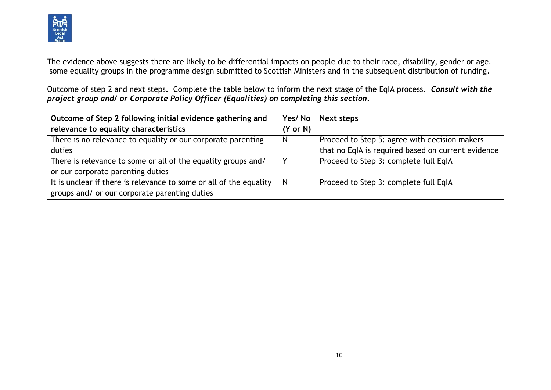

The evidence above suggests there are likely to be differential impacts on people due to their race, disability, gender or age. some equality groups in the programme design submitted to Scottish Ministers and in the subsequent distribution of funding.

Outcome of step 2 and next steps. Complete the table below to inform the next stage of the EqIA process. *Consult with the project group and/ or Corporate Policy Officer (Equalities) on completing this section.*

| Outcome of Step 2 following initial evidence gathering and         | Yes/No              | Next steps                                         |
|--------------------------------------------------------------------|---------------------|----------------------------------------------------|
| relevance to equality characteristics                              | $(Y \text{ or } N)$ |                                                    |
| There is no relevance to equality or our corporate parenting       | <sub>N</sub>        | Proceed to Step 5: agree with decision makers      |
| duties                                                             |                     | that no EqIA is required based on current evidence |
| There is relevance to some or all of the equality groups and/      |                     | Proceed to Step 3: complete full EqIA              |
| or our corporate parenting duties                                  |                     |                                                    |
| It is unclear if there is relevance to some or all of the equality | N                   | Proceed to Step 3: complete full EqIA              |
| groups and/ or our corporate parenting duties                      |                     |                                                    |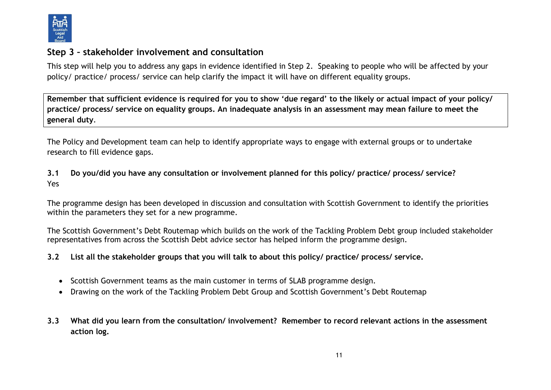

# **Step 3 – stakeholder involvement and consultation**

This step will help you to address any gaps in evidence identified in Step 2. Speaking to people who will be affected by your policy/ practice/ process/ service can help clarify the impact it will have on different equality groups.

**Remember that sufficient evidence is required for you to show 'due regard' to the likely or actual impact of your policy/ practice/ process/ service on equality groups. An inadequate analysis in an assessment may mean failure to meet the general duty**.

The Policy and Development team can help to identify appropriate ways to engage with external groups or to undertake research to fill evidence gaps.

### **3.1 Do you/did you have any consultation or involvement planned for this policy/ practice/ process/ service?**  Yes

The programme design has been developed in discussion and consultation with Scottish Government to identify the priorities within the parameters they set for a new programme.

The Scottish Government's Debt Routemap which builds on the work of the Tackling Problem Debt group included stakeholder representatives from across the Scottish Debt advice sector has helped inform the programme design.

#### **3.2 List all the stakeholder groups that you will talk to about this policy/ practice/ process/ service.**

- Scottish Government teams as the main customer in terms of SLAB programme design.
- Drawing on the work of the Tackling Problem Debt Group and Scottish Government's Debt Routemap
- **3.3 What did you learn from the consultation/ involvement? Remember to record relevant actions in the assessment action log.**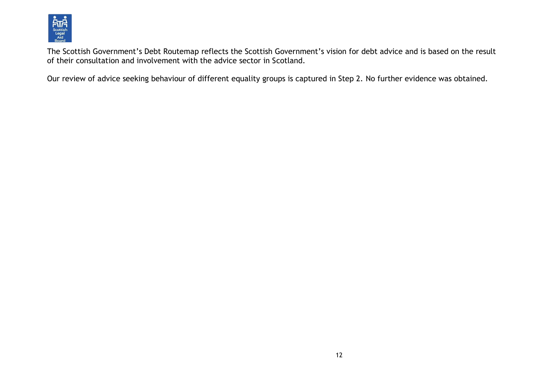

The Scottish Government's Debt Routemap reflects the Scottish Government's vision for debt advice and is based on the result of their consultation and involvement with the advice sector in Scotland.

Our review of advice seeking behaviour of different equality groups is captured in Step 2. No further evidence was obtained.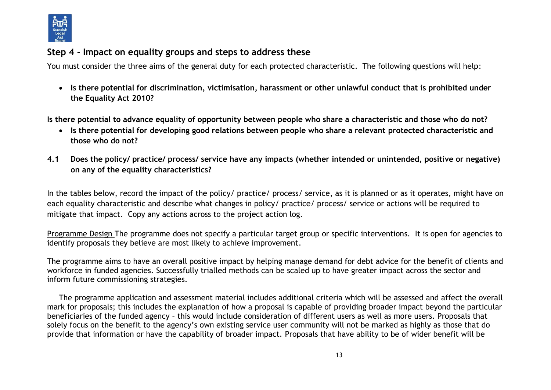

# **Step 4 - Impact on equality groups and steps to address these**

You must consider the three aims of the general duty for each protected characteristic. The following questions will help:

 **Is there potential for discrimination, victimisation, harassment or other unlawful conduct that is prohibited under the Equality Act 2010?**

**Is there potential to advance equality of opportunity between people who share a characteristic and those who do not?**

- **Is there potential for developing good relations between people who share a relevant protected characteristic and those who do not?**
- **4.1 Does the policy/ practice/ process/ service have any impacts (whether intended or unintended, positive or negative) on any of the equality characteristics?**

In the tables below, record the impact of the policy/ practice/ process/ service, as it is planned or as it operates, might have on each equality characteristic and describe what changes in policy/ practice/ process/ service or actions will be required to mitigate that impact. Copy any actions across to the project action log.

Programme Design The programme does not specify a particular target group or specific interventions. It is open for agencies to identify proposals they believe are most likely to achieve improvement.

The programme aims to have an overall positive impact by helping manage demand for debt advice for the benefit of clients and workforce in funded agencies. Successfully trialled methods can be scaled up to have greater impact across the sector and inform future commissioning strategies.

The programme application and assessment material includes additional criteria which will be assessed and affect the overall mark for proposals; this includes the explanation of how a proposal is capable of providing broader impact beyond the particular beneficiaries of the funded agency – this would include consideration of different users as well as more users. Proposals that solely focus on the benefit to the agency's own existing service user community will not be marked as highly as those that do provide that information or have the capability of broader impact. Proposals that have ability to be of wider benefit will be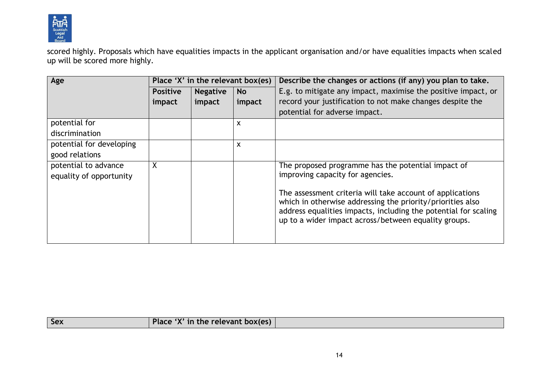

scored highly. Proposals which have equalities impacts in the applicant organisation and/or have equalities impacts when scaled up will be scored more highly.

| Age                      | Place 'X' in the relevant box(es) |                 |           | Describe the changes or actions (if any) you plan to take.                                                                                                                                                                                         |
|--------------------------|-----------------------------------|-----------------|-----------|----------------------------------------------------------------------------------------------------------------------------------------------------------------------------------------------------------------------------------------------------|
|                          | <b>Positive</b>                   | <b>Negative</b> | <b>No</b> | E.g. to mitigate any impact, maximise the positive impact, or                                                                                                                                                                                      |
|                          | impact                            | impact          | impact    | record your justification to not make changes despite the                                                                                                                                                                                          |
|                          |                                   |                 |           | potential for adverse impact.                                                                                                                                                                                                                      |
| potential for            |                                   |                 | X         |                                                                                                                                                                                                                                                    |
| discrimination           |                                   |                 |           |                                                                                                                                                                                                                                                    |
| potential for developing |                                   |                 | X         |                                                                                                                                                                                                                                                    |
| good relations           |                                   |                 |           |                                                                                                                                                                                                                                                    |
| potential to advance     | X                                 |                 |           | The proposed programme has the potential impact of                                                                                                                                                                                                 |
| equality of opportunity  |                                   |                 |           | improving capacity for agencies.                                                                                                                                                                                                                   |
|                          |                                   |                 |           | The assessment criteria will take account of applications<br>which in otherwise addressing the priority/priorities also<br>address equalities impacts, including the potential for scaling<br>up to a wider impact across/between equality groups. |

|  | <b>Sex</b> | $\sim$<br>$\blacksquare$<br>.<br>$-1$<br>.<br>$1.9112 + 1.012 + 2.112 + 2.02$ |  |
|--|------------|-------------------------------------------------------------------------------|--|
|--|------------|-------------------------------------------------------------------------------|--|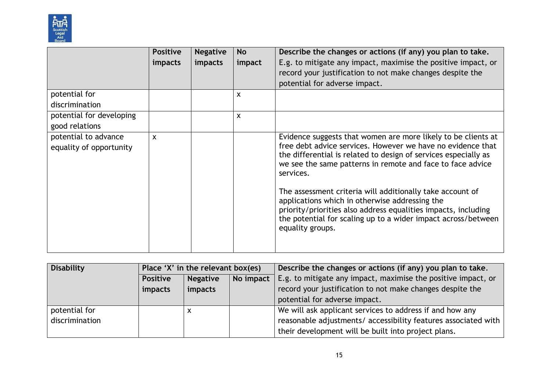

| impacts<br>impact | E.g. to mitigate any impact, maximise the positive impact, or<br>record your justification to not make changes despite the                                                                                                                                                                                                                                                                                                                                                                                                                       |
|-------------------|--------------------------------------------------------------------------------------------------------------------------------------------------------------------------------------------------------------------------------------------------------------------------------------------------------------------------------------------------------------------------------------------------------------------------------------------------------------------------------------------------------------------------------------------------|
|                   |                                                                                                                                                                                                                                                                                                                                                                                                                                                                                                                                                  |
|                   |                                                                                                                                                                                                                                                                                                                                                                                                                                                                                                                                                  |
|                   | potential for adverse impact.                                                                                                                                                                                                                                                                                                                                                                                                                                                                                                                    |
| X                 |                                                                                                                                                                                                                                                                                                                                                                                                                                                                                                                                                  |
|                   |                                                                                                                                                                                                                                                                                                                                                                                                                                                                                                                                                  |
| X                 |                                                                                                                                                                                                                                                                                                                                                                                                                                                                                                                                                  |
|                   |                                                                                                                                                                                                                                                                                                                                                                                                                                                                                                                                                  |
|                   | Evidence suggests that women are more likely to be clients at<br>free debt advice services. However we have no evidence that<br>the differential is related to design of services especially as<br>we see the same patterns in remote and face to face advice<br>services.<br>The assessment criteria will additionally take account of<br>applications which in otherwise addressing the<br>priority/priorities also address equalities impacts, including<br>the potential for scaling up to a wider impact across/between<br>equality groups. |
|                   |                                                                                                                                                                                                                                                                                                                                                                                                                                                                                                                                                  |

| <b>Disability</b> | Place 'X' in the relevant box(es) |                 |           | Describe the changes or actions (if any) you plan to take.     |
|-------------------|-----------------------------------|-----------------|-----------|----------------------------------------------------------------|
|                   | <b>Positive</b>                   | <b>Negative</b> | No impact | E.g. to mitigate any impact, maximise the positive impact, or  |
|                   | impacts                           | impacts         |           | record your justification to not make changes despite the      |
|                   |                                   |                 |           | potential for adverse impact.                                  |
| potential for     |                                   | х               |           | We will ask applicant services to address if and how any       |
| discrimination    |                                   |                 |           | reasonable adjustments/ accessibility features associated with |
|                   |                                   |                 |           | their development will be built into project plans.            |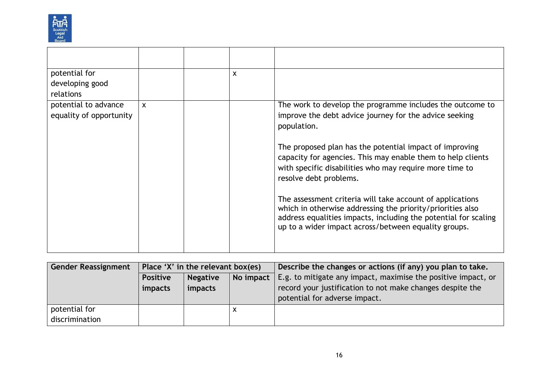

| potential for<br>developing good<br>relations   |   | $\boldsymbol{\mathsf{x}}$ |                                                                                                                                                                                                                                                    |
|-------------------------------------------------|---|---------------------------|----------------------------------------------------------------------------------------------------------------------------------------------------------------------------------------------------------------------------------------------------|
| potential to advance<br>equality of opportunity | X |                           | The work to develop the programme includes the outcome to<br>improve the debt advice journey for the advice seeking<br>population.                                                                                                                 |
|                                                 |   |                           | The proposed plan has the potential impact of improving<br>capacity for agencies. This may enable them to help clients<br>with specific disabilities who may require more time to<br>resolve debt problems.                                        |
|                                                 |   |                           | The assessment criteria will take account of applications<br>which in otherwise addressing the priority/priorities also<br>address equalities impacts, including the potential for scaling<br>up to a wider impact across/between equality groups. |

| <b>Gender Reassignment</b> | Place 'X' in the relevant box(es) |                 |           | Describe the changes or actions (if any) you plan to take.    |
|----------------------------|-----------------------------------|-----------------|-----------|---------------------------------------------------------------|
|                            | <b>Positive</b>                   | <b>Negative</b> | No impact | E.g. to mitigate any impact, maximise the positive impact, or |
|                            | impacts                           | impacts         |           | record your justification to not make changes despite the     |
|                            |                                   |                 |           | potential for adverse impact.                                 |
| potential for              |                                   |                 | X         |                                                               |
| discrimination             |                                   |                 |           |                                                               |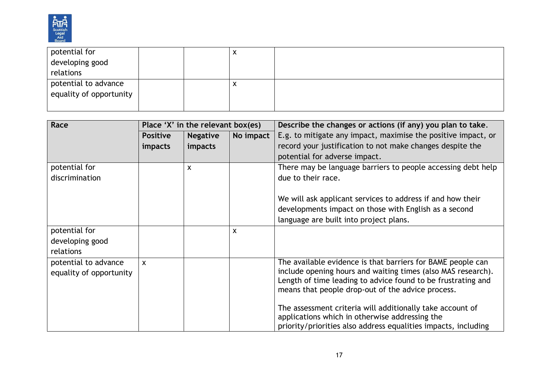

| potential for           |  | $\lambda$ |  |
|-------------------------|--|-----------|--|
| developing good         |  |           |  |
| relations               |  |           |  |
| potential to advance    |  | X         |  |
| equality of opportunity |  |           |  |
|                         |  |           |  |

| Race                                            |                 | Place 'X' in the relevant box(es) |                           | Describe the changes or actions (if any) you plan to take.                                                                                                                                                                                       |
|-------------------------------------------------|-----------------|-----------------------------------|---------------------------|--------------------------------------------------------------------------------------------------------------------------------------------------------------------------------------------------------------------------------------------------|
|                                                 | <b>Positive</b> | <b>Negative</b>                   | No impact                 | E.g. to mitigate any impact, maximise the positive impact, or                                                                                                                                                                                    |
|                                                 | <i>impacts</i>  | impacts                           |                           | record your justification to not make changes despite the                                                                                                                                                                                        |
|                                                 |                 |                                   |                           | potential for adverse impact.                                                                                                                                                                                                                    |
| potential for                                   |                 | X                                 |                           | There may be language barriers to people accessing debt help                                                                                                                                                                                     |
| discrimination                                  |                 |                                   |                           | due to their race.                                                                                                                                                                                                                               |
|                                                 |                 |                                   |                           | We will ask applicant services to address if and how their                                                                                                                                                                                       |
|                                                 |                 |                                   |                           | developments impact on those with English as a second                                                                                                                                                                                            |
|                                                 |                 |                                   |                           | language are built into project plans.                                                                                                                                                                                                           |
| potential for                                   |                 |                                   | $\boldsymbol{\mathsf{X}}$ |                                                                                                                                                                                                                                                  |
| developing good                                 |                 |                                   |                           |                                                                                                                                                                                                                                                  |
| relations                                       |                 |                                   |                           |                                                                                                                                                                                                                                                  |
| potential to advance<br>equality of opportunity | X               |                                   |                           | The available evidence is that barriers for BAME people can<br>include opening hours and waiting times (also MAS research).<br>Length of time leading to advice found to be frustrating and<br>means that people drop-out of the advice process. |
|                                                 |                 |                                   |                           | The assessment criteria will additionally take account of<br>applications which in otherwise addressing the<br>priority/priorities also address equalities impacts, including                                                                    |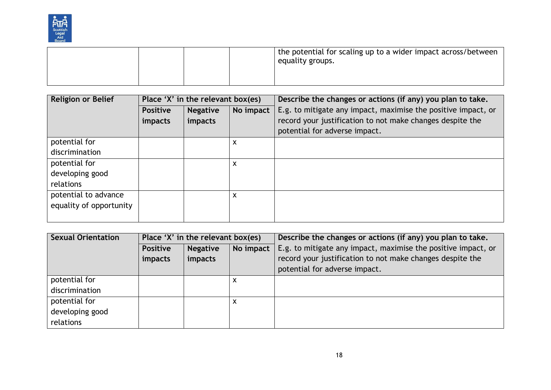

|  |  | the potential for scaling up to a wider impact across/between<br>equality groups. |
|--|--|-----------------------------------------------------------------------------------|
|  |  |                                                                                   |

| <b>Religion or Belief</b> |                 | Place 'X' in the relevant box(es) |           | Describe the changes or actions (if any) you plan to take.    |
|---------------------------|-----------------|-----------------------------------|-----------|---------------------------------------------------------------|
|                           | <b>Positive</b> | <b>Negative</b>                   | No impact | E.g. to mitigate any impact, maximise the positive impact, or |
|                           | <i>impacts</i>  | impacts                           |           | record your justification to not make changes despite the     |
|                           |                 |                                   |           | potential for adverse impact.                                 |
| potential for             |                 |                                   | X         |                                                               |
| discrimination            |                 |                                   |           |                                                               |
| potential for             |                 |                                   | X         |                                                               |
| developing good           |                 |                                   |           |                                                               |
| relations                 |                 |                                   |           |                                                               |
| potential to advance      |                 |                                   | X         |                                                               |
| equality of opportunity   |                 |                                   |           |                                                               |
|                           |                 |                                   |           |                                                               |

| <b>Sexual Orientation</b> | Place 'X' in the relevant box(es) |                              |   | Describe the changes or actions (if any) you plan to take.    |  |
|---------------------------|-----------------------------------|------------------------------|---|---------------------------------------------------------------|--|
|                           | <b>Positive</b>                   | No impact<br><b>Negative</b> |   | E.g. to mitigate any impact, maximise the positive impact, or |  |
|                           | impacts                           | impacts                      |   | record your justification to not make changes despite the     |  |
|                           |                                   |                              |   | potential for adverse impact.                                 |  |
| potential for             |                                   |                              | X |                                                               |  |
| discrimination            |                                   |                              |   |                                                               |  |
| potential for             |                                   |                              | X |                                                               |  |
| developing good           |                                   |                              |   |                                                               |  |
| relations                 |                                   |                              |   |                                                               |  |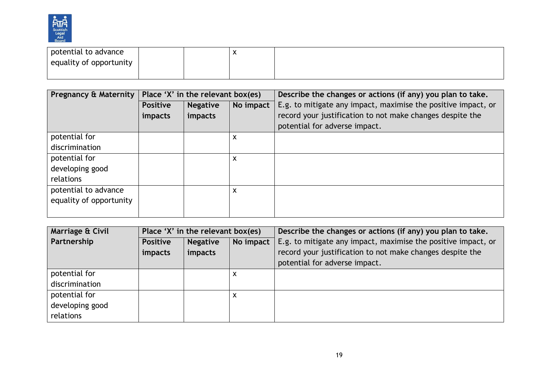

| potential to advance    |  | $\sqrt{ }$ |  |
|-------------------------|--|------------|--|
| equality of opportunity |  |            |  |
|                         |  |            |  |

| Pregnancy & Maternity   | Place 'X' in the relevant box(es) |                 |                           | Describe the changes or actions (if any) you plan to take.    |  |
|-------------------------|-----------------------------------|-----------------|---------------------------|---------------------------------------------------------------|--|
|                         | <b>Positive</b>                   | <b>Negative</b> | No impact                 | E.g. to mitigate any impact, maximise the positive impact, or |  |
|                         | impacts                           | impacts         |                           | record your justification to not make changes despite the     |  |
|                         |                                   |                 |                           | potential for adverse impact.                                 |  |
| potential for           |                                   |                 | $\boldsymbol{\mathsf{x}}$ |                                                               |  |
| discrimination          |                                   |                 |                           |                                                               |  |
| potential for           |                                   |                 | $\boldsymbol{\mathsf{X}}$ |                                                               |  |
| developing good         |                                   |                 |                           |                                                               |  |
| relations               |                                   |                 |                           |                                                               |  |
| potential to advance    |                                   |                 | X                         |                                                               |  |
| equality of opportunity |                                   |                 |                           |                                                               |  |
|                         |                                   |                 |                           |                                                               |  |

| Marriage & Civil | Place 'X' in the relevant box(es) |                 |           | Describe the changes or actions (if any) you plan to take.    |
|------------------|-----------------------------------|-----------------|-----------|---------------------------------------------------------------|
| Partnership      | <b>Positive</b>                   | <b>Negative</b> | No impact | E.g. to mitigate any impact, maximise the positive impact, or |
|                  | impacts                           | impacts         |           | record your justification to not make changes despite the     |
|                  |                                   |                 |           | potential for adverse impact.                                 |
| potential for    |                                   |                 | ́         |                                                               |
| discrimination   |                                   |                 |           |                                                               |
| potential for    |                                   |                 | ́         |                                                               |
| developing good  |                                   |                 |           |                                                               |
| relations        |                                   |                 |           |                                                               |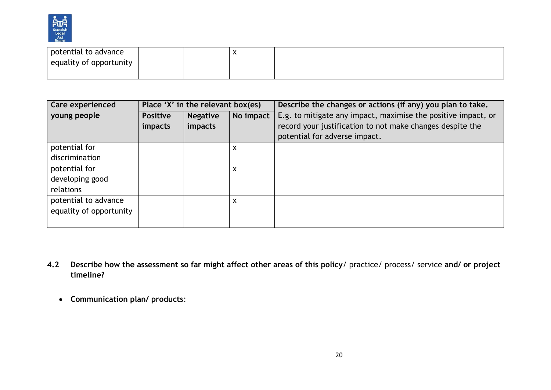

| potential to advance    |  | $\overline{\phantom{a}}$ |  |
|-------------------------|--|--------------------------|--|
| equality of opportunity |  |                          |  |
|                         |  |                          |  |

| Care experienced        | Place 'X' in the relevant box(es) |                 |                           | Describe the changes or actions (if any) you plan to take.    |  |
|-------------------------|-----------------------------------|-----------------|---------------------------|---------------------------------------------------------------|--|
| young people            | <b>Positive</b>                   | <b>Negative</b> | No impact                 | E.g. to mitigate any impact, maximise the positive impact, or |  |
|                         | impacts                           | impacts         |                           | record your justification to not make changes despite the     |  |
|                         |                                   |                 |                           | potential for adverse impact.                                 |  |
| potential for           |                                   |                 | X                         |                                                               |  |
| discrimination          |                                   |                 |                           |                                                               |  |
| potential for           |                                   |                 | $\boldsymbol{\mathsf{x}}$ |                                                               |  |
| developing good         |                                   |                 |                           |                                                               |  |
| relations               |                                   |                 |                           |                                                               |  |
| potential to advance    |                                   |                 | X                         |                                                               |  |
| equality of opportunity |                                   |                 |                           |                                                               |  |
|                         |                                   |                 |                           |                                                               |  |

- **4.2 Describe how the assessment so far might affect other areas of this policy**/ practice/ process/ service **and/ or project timeline?** 
	- **Communication plan/ products**: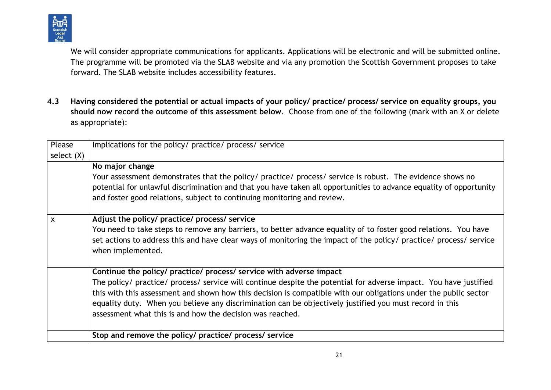

We will consider appropriate communications for applicants. Applications will be electronic and will be submitted online. The programme will be promoted via the SLAB website and via any promotion the Scottish Government proposes to take forward. The SLAB website includes accessibility features.

**4.3 Having considered the potential or actual impacts of your policy/ practice/ process/ service on equality groups, you should now record the outcome of this assessment below**. Choose from one of the following (mark with an X or delete as appropriate):

| Please     | Implications for the policy/ practice/ process/ service                                                            |
|------------|--------------------------------------------------------------------------------------------------------------------|
| select (X) |                                                                                                                    |
|            | No major change                                                                                                    |
|            | Your assessment demonstrates that the policy/ practice/ process/ service is robust. The evidence shows no          |
|            | potential for unlawful discrimination and that you have taken all opportunities to advance equality of opportunity |
|            | and foster good relations, subject to continuing monitoring and review.                                            |
|            |                                                                                                                    |
| X          | Adjust the policy/ practice/ process/ service                                                                      |
|            | You need to take steps to remove any barriers, to better advance equality of to foster good relations. You have    |
|            | set actions to address this and have clear ways of monitoring the impact of the policy/ practice/ process/ service |
|            | when implemented.                                                                                                  |
|            |                                                                                                                    |
|            | Continue the policy/ practice/ process/ service with adverse impact                                                |
|            | The policy/ practice/ process/ service will continue despite the potential for adverse impact. You have justified  |
|            | this with this assessment and shown how this decision is compatible with our obligations under the public sector   |
|            | equality duty. When you believe any discrimination can be objectively justified you must record in this            |
|            | assessment what this is and how the decision was reached.                                                          |
|            |                                                                                                                    |
|            | Stop and remove the policy/ practice/ process/ service                                                             |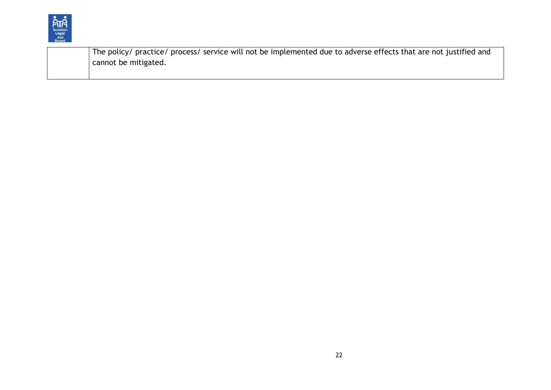

The policy/ practice/ process/ service will not be implemented due to adverse effects that are not justified and cannot be mitigated.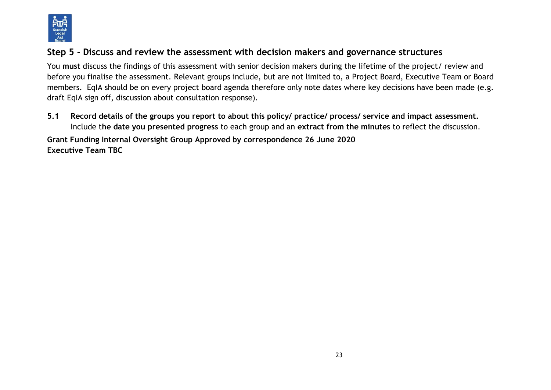

# **Step 5 - Discuss and review the assessment with decision makers and governance structures**

You **must** discuss the findings of this assessment with senior decision makers during the lifetime of the project/ review and before you finalise the assessment. Relevant groups include, but are not limited to, a Project Board, Executive Team or Board members. EqIA should be on every project board agenda therefore only note dates where key decisions have been made (e.g. draft EqIA sign off, discussion about consultation response).

**5.1 Record details of the groups you report to about this policy/ practice/ process/ service and impact assessment.**  Include t**he date you presented progress** to each group and an **extract from the minutes** to reflect the discussion.

**Grant Funding Internal Oversight Group Approved by correspondence 26 June 2020 Executive Team TBC**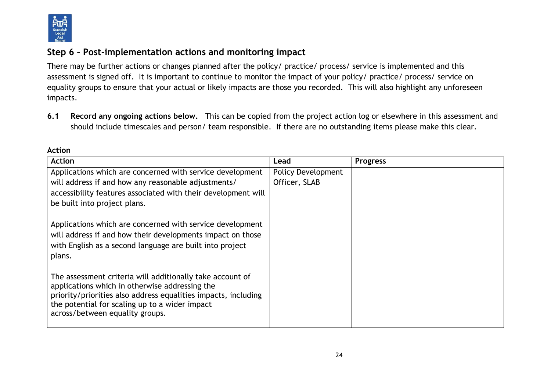

# **Step 6 – Post-implementation actions and monitoring impact**

There may be further actions or changes planned after the policy/ practice/ process/ service is implemented and this assessment is signed off. It is important to continue to monitor the impact of your policy/ practice/ process/ service on equality groups to ensure that your actual or likely impacts are those you recorded. This will also highlight any unforeseen impacts.

**6.1 Record any ongoing actions below.** This can be copied from the project action log or elsewhere in this assessment and should include timescales and person/ team responsible.If there are no outstanding items please make this clear.

| <b>Action</b>                                                                                               | Lead                      | <b>Progress</b> |
|-------------------------------------------------------------------------------------------------------------|---------------------------|-----------------|
| Applications which are concerned with service development                                                   | <b>Policy Development</b> |                 |
| will address if and how any reasonable adjustments/                                                         | Officer, SLAB             |                 |
| accessibility features associated with their development will                                               |                           |                 |
| be built into project plans.                                                                                |                           |                 |
|                                                                                                             |                           |                 |
| Applications which are concerned with service development                                                   |                           |                 |
| will address if and how their developments impact on those                                                  |                           |                 |
| with English as a second language are built into project                                                    |                           |                 |
| plans.                                                                                                      |                           |                 |
| The assessment criteria will additionally take account of<br>applications which in otherwise addressing the |                           |                 |
| priority/priorities also address equalities impacts, including                                              |                           |                 |
| the potential for scaling up to a wider impact                                                              |                           |                 |
| across/between equality groups.                                                                             |                           |                 |
|                                                                                                             |                           |                 |

**Action**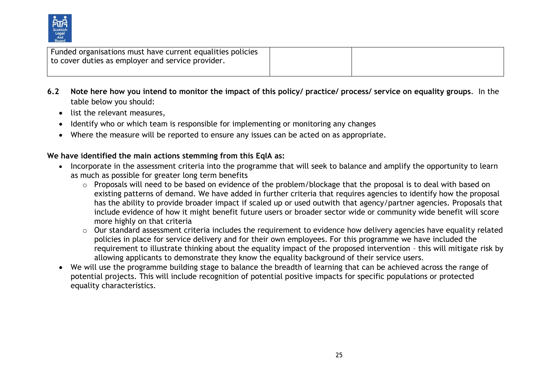

| Funded organisations must have current equalities policies<br>to cover duties as employer and service provider. |  |
|-----------------------------------------------------------------------------------------------------------------|--|
|                                                                                                                 |  |

- **6.2 Note here how you intend to monitor the impact of this policy/ practice/ process/ service on equality groups**. In the table below you should:
	- list the relevant measures,
	- Identify who or which team is responsible for implementing or monitoring any changes
	- Where the measure will be reported to ensure any issues can be acted on as appropriate.

#### **We have identified the main actions stemming from this EqIA as:**

- Incorporate in the assessment criteria into the programme that will seek to balance and amplify the opportunity to learn as much as possible for greater long term benefits
	- o Proposals will need to be based on evidence of the problem/blockage that the proposal is to deal with based on existing patterns of demand. We have added in further criteria that requires agencies to identify how the proposal has the ability to provide broader impact if scaled up or used outwith that agency/partner agencies. Proposals that include evidence of how it might benefit future users or broader sector wide or community wide benefit will score more highly on that criteria
	- o Our standard assessment criteria includes the requirement to evidence how delivery agencies have equality related policies in place for service delivery and for their own employees. For this programme we have included the requirement to illustrate thinking about the equality impact of the proposed intervention – this will mitigate risk by allowing applicants to demonstrate they know the equality background of their service users.
- We will use the programme building stage to balance the breadth of learning that can be achieved across the range of potential projects. This will include recognition of potential positive impacts for specific populations or protected equality characteristics.